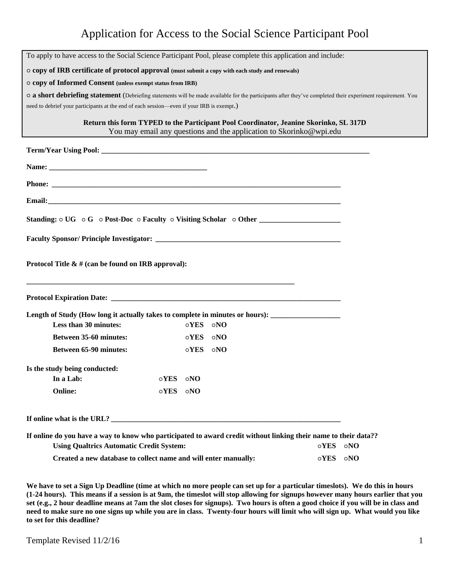## Application for Access to the Social Science Participant Pool

| To apply to have access to the Social Science Participant Pool, please complete this application and include:                                                      |             |             |            |                                                                     |             |            |
|--------------------------------------------------------------------------------------------------------------------------------------------------------------------|-------------|-------------|------------|---------------------------------------------------------------------|-------------|------------|
| o copy of IRB certificate of protocol approval (must submit a copy with each study and renewals)                                                                   |             |             |            |                                                                     |             |            |
| o copy of Informed Consent (unless exempt status from IRB)                                                                                                         |             |             |            |                                                                     |             |            |
| o a short debriefing statement (Debriefing statements will be made available for the participants after they've completed their experiment requirement. You        |             |             |            |                                                                     |             |            |
| need to debrief your participants at the end of each session-even if your IRB is exempt.)                                                                          |             |             |            |                                                                     |             |            |
| Return this form TYPED to the Participant Pool Coordinator, Jeanine Skorinko, SL 317D                                                                              |             |             |            | You may email any questions and the application to Skorinko@wpi.edu |             |            |
|                                                                                                                                                                    |             |             |            |                                                                     |             |            |
|                                                                                                                                                                    |             |             |            |                                                                     |             |            |
|                                                                                                                                                                    |             |             |            |                                                                     |             |            |
|                                                                                                                                                                    |             |             |            |                                                                     |             |            |
| Standing: $\circ$ UG $\circ$ G $\circ$ Post-Doc $\circ$ Faculty $\circ$ Visiting Scholar $\circ$ Other                                                             |             |             |            |                                                                     |             |            |
|                                                                                                                                                                    |             |             |            |                                                                     |             |            |
| Protocol Title $\&$ # (can be found on IRB approval):                                                                                                              |             |             |            |                                                                     |             |            |
|                                                                                                                                                                    |             |             |            |                                                                     |             |            |
| Length of Study (How long it actually takes to complete in minutes or hours):                                                                                      |             |             |            |                                                                     |             |            |
| Less than 30 minutes:                                                                                                                                              |             | oYES ONO    |            |                                                                     |             |            |
| <b>Between 35-60 minutes:</b>                                                                                                                                      |             | $\circ$ YES | $\circ$ NO |                                                                     |             |            |
| Between 65-90 minutes:                                                                                                                                             |             | $\circ$ YES | $\circ$ NO |                                                                     |             |            |
| Is the study being conducted:                                                                                                                                      |             |             |            |                                                                     |             |            |
| In a Lab:                                                                                                                                                          | $\circ$ YES | $\circ$ NO  |            |                                                                     |             |            |
| <b>Online:</b>                                                                                                                                                     | $\circ$ YES | $\circ$ NO  |            |                                                                     |             |            |
| If online what is the URL?                                                                                                                                         |             |             |            |                                                                     |             |            |
| If online do you have a way to know who participated to award credit without linking their name to their data??<br><b>Using Qualtrics Automatic Credit System:</b> |             |             |            |                                                                     | $\circ$ YES | $\circ$ NO |
| Created a new database to collect name and will enter manually:                                                                                                    |             |             |            | $\circ$ YES                                                         | $\circ$ NO  |            |

**We have to set a Sign Up Deadline (time at which no more people can set up for a particular timeslots). We do this in hours (1-24 hours). This means if a session is at 9am, the timeslot will stop allowing for signups however many hours earlier that you set (e.g., 2 hour deadline means at 7am the slot closes for signups). Two hours is often a good choice if you will be in class and need to make sure no one signs up while you are in class. Twenty-four hours will limit who will sign up. What would you like to set for this deadline?**